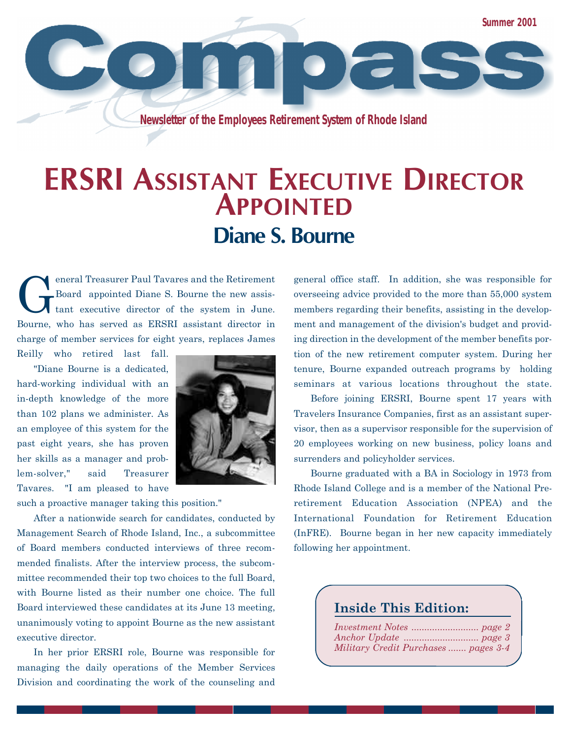**Summer 2001**

 $\bullet$  )  $\subset$   $\vdash$ 

**Newsletter of the Employees Retirement System of Rhode Island**

### **ERSRI ASSISTANT EXECUTIVE DIRECTOR APPOINTED Diane S. Bourne**

G eneral Treasurer Paul Tavares and the Retirement Board appointed Diane S. Bourne the new assistant executive director of the system in June. Bourne, who has served as ERSRI assistant director in charge of member services for eight years, replaces James

Reilly who retired last fall.

"Diane Bourne is a dedicated, hard-working individual with an in-depth knowledge of the more than 102 plans we administer. As an employee of this system for the past eight years, she has proven her skills as a manager and problem-solver," said Treasurer Tavares. "I am pleased to have



such a proactive manager taking this position."

After a nationwide search for candidates, conducted by Management Search of Rhode Island, Inc., a subcommittee of Board members conducted interviews of three recommended finalists. After the interview process, the subcommittee recommended their top two choices to the full Board, with Bourne listed as their number one choice. The full Board interviewed these candidates at its June 13 meeting, unanimously voting to appoint Bourne as the new assistant executive director.

In her prior ERSRI role, Bourne was responsible for managing the daily operations of the Member Services Division and coordinating the work of the counseling and

general office staff. In addition, she was responsible for overseeing advice provided to the more than 55,000 system members regarding their benefits, assisting in the development and management of the division's budget and providing direction in the development of the member benefits portion of the new retirement computer system. During her tenure, Bourne expanded outreach programs by holding seminars at various locations throughout the state.

Before joining ERSRI, Bourne spent 17 years with Travelers Insurance Companies, first as an assistant supervisor, then as a supervisor responsible for the supervision of 20 employees working on new business, policy loans and surrenders and policyholder services.

Bourne graduated with a BA in Sociology in 1973 from Rhode Island College and is a member of the National Preretirement Education Association (NPEA) and the International Foundation for Retirement Education (InFRE). Bourne began in her new capacity immediately following her appointment.

#### **Inside This Edition:**

| Military Credit Purchases  pages 3-4 |  |
|--------------------------------------|--|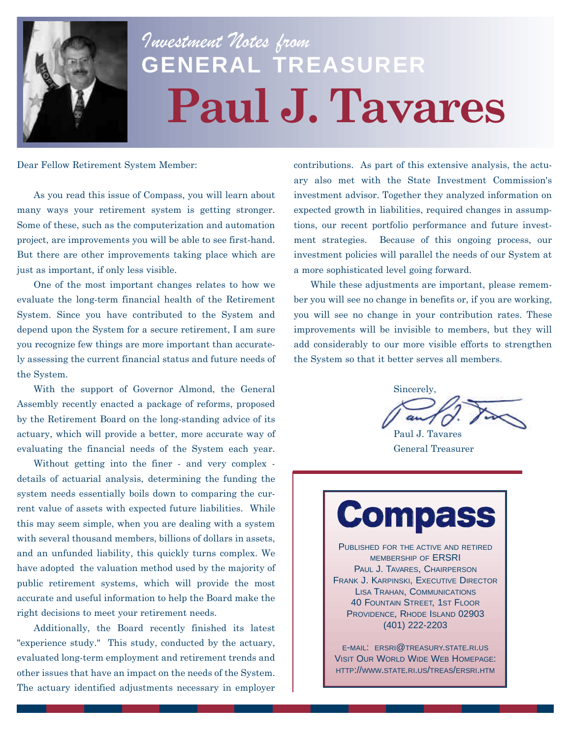

# *Investment Notes from* **GENERAL TREASURER Paul J. Tavares**

Dear Fellow Retirement System Member:

As you read this issue of Compass, you will learn about many ways your retirement system is getting stronger. Some of these, such as the computerization and automation project, are improvements you will be able to see first-hand. But there are other improvements taking place which are just as important, if only less visible.

One of the most important changes relates to how we evaluate the long-term financial health of the Retirement System. Since you have contributed to the System and depend upon the System for a secure retirement, I am sure you recognize few things are more important than accurately assessing the current financial status and future needs of the System.

With the support of Governor Almond, the General Assembly recently enacted a package of reforms, proposed by the Retirement Board on the long-standing advice of its actuary, which will provide a better, more accurate way of evaluating the financial needs of the System each year.

Without getting into the finer - and very complex details of actuarial analysis, determining the funding the system needs essentially boils down to comparing the current value of assets with expected future liabilities. While this may seem simple, when you are dealing with a system with several thousand members, billions of dollars in assets, and an unfunded liability, this quickly turns complex. We have adopted the valuation method used by the majority of public retirement systems, which will provide the most accurate and useful information to help the Board make the right decisions to meet your retirement needs.

Additionally, the Board recently finished its latest "experience study." This study, conducted by the actuary, evaluated long-term employment and retirement trends and other issues that have an impact on the needs of the System. The actuary identified adjustments necessary in employer

contributions. As part of this extensive analysis, the actuary also met with the State Investment Commission's investment advisor. Together they analyzed information on expected growth in liabilities, required changes in assumptions, our recent portfolio performance and future investment strategies. Because of this ongoing process, our investment policies will parallel the needs of our System at a more sophisticated level going forward.

While these adjustments are important, please remember you will see no change in benefits or, if you are working, you will see no change in your contribution rates. These improvements will be invisible to members, but they will add considerably to our more visible efforts to strengthen the System so that it better serves all members.

Sincerely,

Paul J. Tavares General Treasurer

## **Compass**

PUBLISHED FOR THE ACTIVE AND RETIRED MEMBERSHIP OF ERSRI PAUL J. TAVARES, CHAIRPERSON FRANK J. KARPINSKI, EXECUTIVE DIRECTOR LISA TRAHAN, COMMUNICATIONS 40 FOUNTAIN STREET, 1ST FLOOR PROVIDENCE, RHODE ISLAND 02903 (401) 222-2203

E-MAIL: ERSRI@TREASURY.STATE.RI.US VISIT OUR WORLD WIDE WEB HOMEPAGE: HTTP://WWW.STATE.RI.US/TREAS/ERSRI.HTM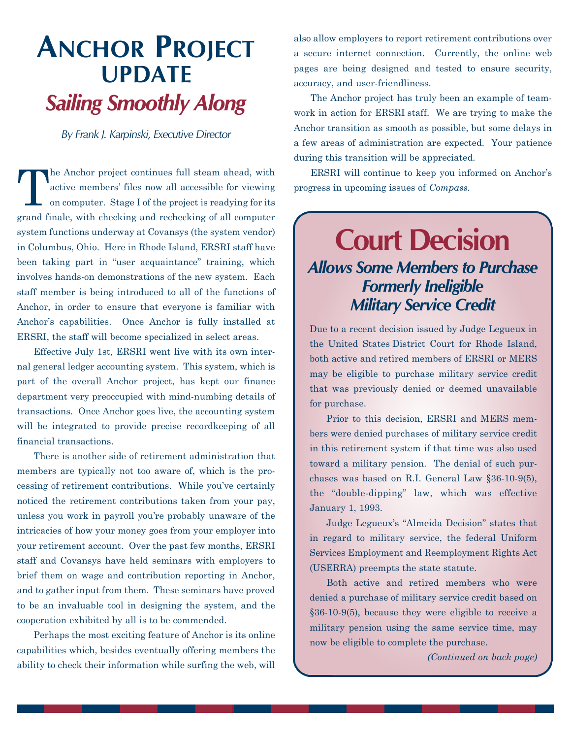#### **ANCHOR PROJECT UPDATE** *Sailing Smoothly Along*

*By Frank J. Karpinski, Executive Director*

T he Anchor project continues full steam ahead, with active members' files now all accessible for viewing on computer. Stage I of the project is readying for its grand finale, with checking and rechecking of all computer system functions underway at Covansys (the system vendor) in Columbus, Ohio. Here in Rhode Island, ERSRI staff have been taking part in "user acquaintance" training, which involves hands-on demonstrations of the new system. Each staff member is being introduced to all of the functions of Anchor, in order to ensure that everyone is familiar with Anchor's capabilities. Once Anchor is fully installed at ERSRI, the staff will become specialized in select areas.

Effective July 1st, ERSRI went live with its own internal general ledger accounting system. This system, which is part of the overall Anchor project, has kept our finance department very preoccupied with mind-numbing details of transactions. Once Anchor goes live, the accounting system will be integrated to provide precise recordkeeping of all financial transactions.

There is another side of retirement administration that members are typically not too aware of, which is the processing of retirement contributions. While you've certainly noticed the retirement contributions taken from your pay, unless you work in payroll you're probably unaware of the intricacies of how your money goes from your employer into your retirement account. Over the past few months, ERSRI staff and Covansys have held seminars with employers to brief them on wage and contribution reporting in Anchor, and to gather input from them. These seminars have proved to be an invaluable tool in designing the system, and the cooperation exhibited by all is to be commended.

Perhaps the most exciting feature of Anchor is its online capabilities which, besides eventually offering members the ability to check their information while surfing the web, will

also allow employers to report retirement contributions over a secure internet connection. Currently, the online web pages are being designed and tested to ensure security, accuracy, and user-friendliness.

The Anchor project has truly been an example of teamwork in action for ERSRI staff. We are trying to make the Anchor transition as smooth as possible, but some delays in a few areas of administration are expected. Your patience during this transition will be appreciated.

ERSRI will continue to keep you informed on Anchor's progress in upcoming issues of *Compass.*

#### **Court Decision**  *Allows Some Members to Purchase Formerly Ineligible Military Service Credit*

Due to a recent decision issued by Judge Legueux in the United States District Court for Rhode Island, both active and retired members of ERSRI or MERS may be eligible to purchase military service credit that was previously denied or deemed unavailable for purchase.

Prior to this decision, ERSRI and MERS members were denied purchases of military service credit in this retirement system if that time was also used toward a military pension. The denial of such purchases was based on R.I. General Law §36-10-9(5), the "double-dipping" law, which was effective January 1, 1993.

Judge Legueux's "Almeida Decision" states that in regard to military service, the federal Uniform Services Employment and Reemployment Rights Act (USERRA) preempts the state statute.

Both active and retired members who were denied a purchase of military service credit based on §36-10-9(5), because they were eligible to receive a military pension using the same service time, may now be eligible to complete the purchase.

*(Continued on back page)*